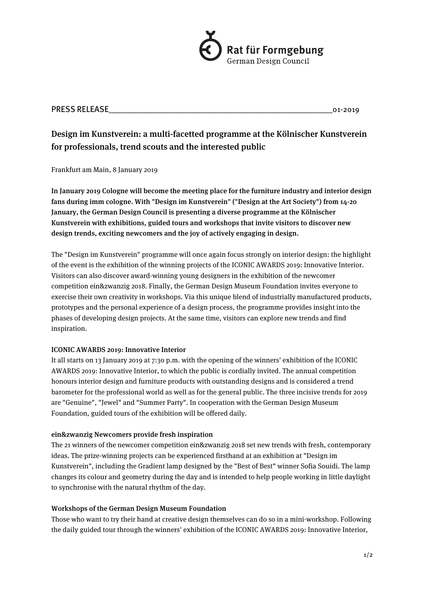

# PRESS RELEASE THE RESOLUTION OF PRESS RELEASE THE RESOLUTION OF PRESS RELEASE

# Design im Kunstverein: a multi-facetted programme at the Kölnischer Kunstverein for professionals, trend scouts and the interested public

## Frankfurt am Main, 8 January 2019

In January 2019 Cologne will become the meeting place for the furniture industry and interior design fans during imm cologne. With "Design im Kunstverein" ("Design at the Art Society") from 14-20 January, the German Design Council is presenting a diverse programme at the Kölnischer Kunstverein with exhibitions, guided tours and workshops that invite visitors to discover new design trends, exciting newcomers and the joy of actively engaging in design.

The "Design im Kunstverein" programme will once again focus strongly on interior design: the highlight of the event is the exhibition of the winning projects of the ICONIC AWARDS 2019: Innovative Interior. Visitors can also discover award-winning young designers in the exhibition of the newcomer competition ein&zwanzig 2018. Finally, the German Design Museum Foundation invites everyone to exercise their own creativity in workshops. Via this unique blend of industrially manufactured products, prototypes and the personal experience of a design process, the programme provides insight into the phases of developing design projects. At the same time, visitors can explore new trends and find inspiration.

## ICONIC AWARDS 2019: Innovative Interior

It all starts on 13 January 2019 at 7:30 p.m. with the opening of the winners' exhibition of the ICONIC AWARDS 2019: Innovative Interior, to which the public is cordially invited. The annual competition honours interior design and furniture products with outstanding designs and is considered a trend barometer for the professional world as well as for the general public. The three incisive trends for 2019 are "Genuine", "Jewel" and "Summer Party". In cooperation with the German Design Museum Foundation, guided tours of the exhibition will be offered daily.

## ein&zwanzig Newcomers provide fresh inspiration

The 21 winners of the newcomer competition ein&zwanzig 2018 set new trends with fresh, contemporary ideas. The prize-winning projects can be experienced firsthand at an exhibition at "Design im Kunstverein", including the Gradient lamp designed by the "Best of Best" winner Sofia Souidi. The lamp changes its colour and geometry during the day and is intended to help people working in little daylight to synchronise with the natural rhythm of the day.

## Workshops of the German Design Museum Foundation

Those who want to try their hand at creative design themselves can do so in a mini-workshop. Following the daily guided tour through the winners' exhibition of the ICONIC AWARDS 2019: Innovative Interior,